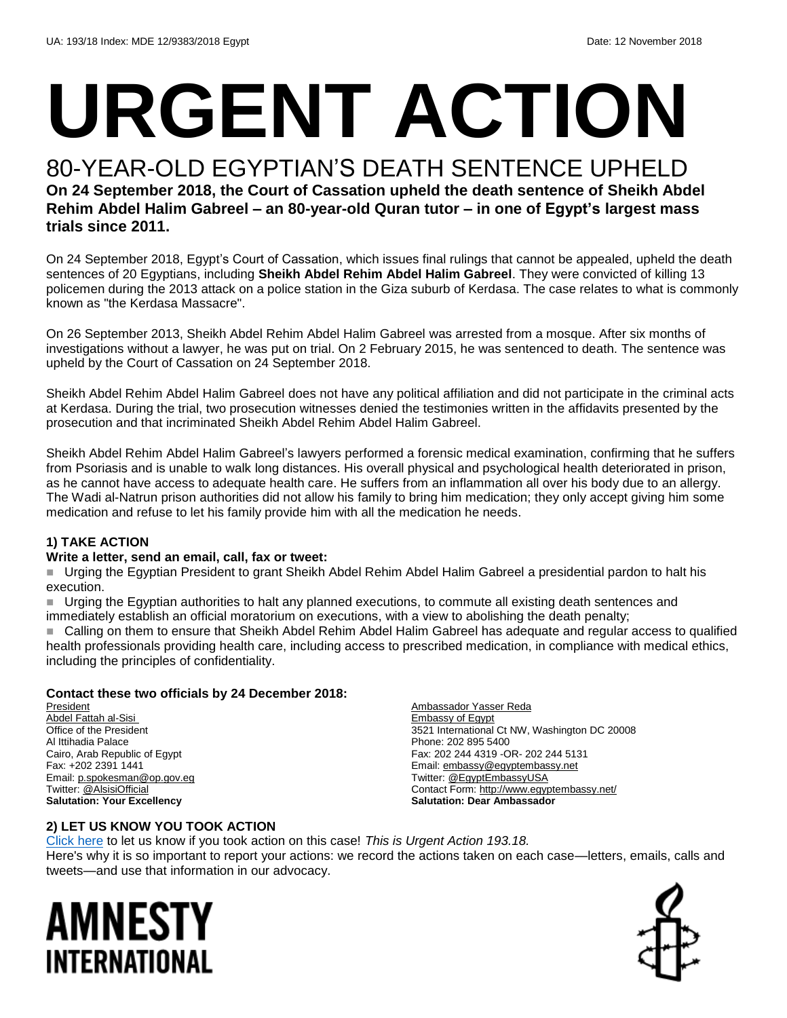# **URGENT ACTION**

#### 80-YEAR-OLD EGYPTIAN'S DEATH SENTENCE UPHELD **On 24 September 2018, the Court of Cassation upheld the death sentence of Sheikh Abdel Rehim Abdel Halim Gabreel – an 80-year-old Quran tutor – in one of Egypt's largest mass trials since 2011.**

On 24 September 2018, Egypt's Court of Cassation, which issues final rulings that cannot be appealed, upheld the death sentences of 20 Egyptians, including **Sheikh Abdel Rehim Abdel Halim Gabreel**. They were convicted of killing 13 policemen during the 2013 attack on a police station in the Giza suburb of Kerdasa. The case relates to what is commonly known as "the Kerdasa Massacre".

On 26 September 2013, Sheikh Abdel Rehim Abdel Halim Gabreel was arrested from a mosque. After six months of investigations without a lawyer, he was put on trial. On 2 February 2015, he was sentenced to death. The sentence was upheld by the Court of Cassation on 24 September 2018.

Sheikh Abdel Rehim Abdel Halim Gabreel does not have any political affiliation and did not participate in the criminal acts at Kerdasa. During the trial, two prosecution witnesses denied the testimonies written in the affidavits presented by the prosecution and that incriminated Sheikh Abdel Rehim Abdel Halim Gabreel.

Sheikh Abdel Rehim Abdel Halim Gabreel's lawyers performed a forensic medical examination, confirming that he suffers from Psoriasis and is unable to walk long distances. His overall physical and psychological health deteriorated in prison, as he cannot have access to adequate health care. He suffers from an inflammation all over his body due to an allergy. The Wadi al-Natrun prison authorities did not allow his family to bring him medication; they only accept giving him some medication and refuse to let his family provide him with all the medication he needs.

#### **1) TAKE ACTION**

#### **Write a letter, send an email, call, fax or tweet:**

 Urging the Egyptian President to grant Sheikh Abdel Rehim Abdel Halim Gabreel a presidential pardon to halt his execution.

 Urging the Egyptian authorities to halt any planned executions, to commute all existing death sentences and immediately establish an official moratorium on executions, with a view to abolishing the death penalty;

 Calling on them to ensure that Sheikh Abdel Rehim Abdel Halim Gabreel has adequate and regular access to qualified health professionals providing health care, including access to prescribed medication, in compliance with medical ethics, including the principles of confidentiality.

#### **Contact these two officials by 24 December 2018:**

President Abdel Fattah al-Sisi Office of the President Al Ittihadia Palace Cairo, Arab Republic of Egypt Fax: +202 2391 1441 Email[: p.spokesman@op.gov.eg](mailto:p.spokesman@op.gov.eg) Twitter[: @AlsisiOfficial](https://twitter.com/alsisiofficial?lang=en)  **Salutation: Your Excellency**

Ambassador Yasser Reda Embassy of Egypt 3521 International Ct NW, Washington DC 20008 Phone: 202 895 5400 Fax: 202 244 4319 -OR- 202 244 5131 Email[: embassy@egyptembassy.net](mailto:embassy@egyptembassy.net) Twitter[: @EgyptEmbassyUSA](https://twitter.com/EgyptEmbassyUSA?ref_src=twsrc%5Egoogle%7Ctwcamp%5Eserp%7Ctwgr%5Eauthor) Contact Form:<http://www.egyptembassy.net/> **Salutation: Dear Ambassador** 

#### **2) LET US KNOW YOU TOOK ACTION**

[Click here](https://www.amnestyusa.org/report-urgent-actions/) to let us know if you took action on this case! *This is Urgent Action 193.18.* Here's why it is so important to report your actions: we record the actions taken on each case—letters, emails, calls and tweets—and use that information in our advocacy.

### AMNESTY INTERNATIONAL